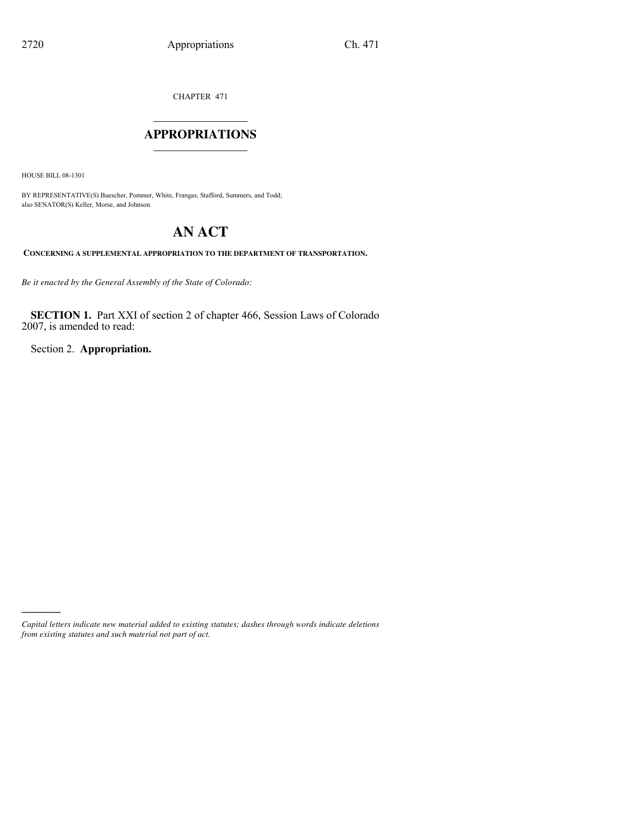CHAPTER 471

## $\mathcal{L}_\text{max}$  , where  $\mathcal{L}_\text{max}$ **APPROPRIATIONS** \_\_\_\_\_\_\_\_\_\_\_\_\_\_\_

HOUSE BILL 08-1301

)))))

BY REPRESENTATIVE(S) Buescher, Pommer, White, Frangas, Stafford, Summers, and Todd; also SENATOR(S) Keller, Morse, and Johnson.

## **AN ACT**

**CONCERNING A SUPPLEMENTAL APPROPRIATION TO THE DEPARTMENT OF TRANSPORTATION.**

*Be it enacted by the General Assembly of the State of Colorado:*

**SECTION 1.** Part XXI of section 2 of chapter 466, Session Laws of Colorado 2007, is amended to read:

Section 2. **Appropriation.**

*Capital letters indicate new material added to existing statutes; dashes through words indicate deletions from existing statutes and such material not part of act.*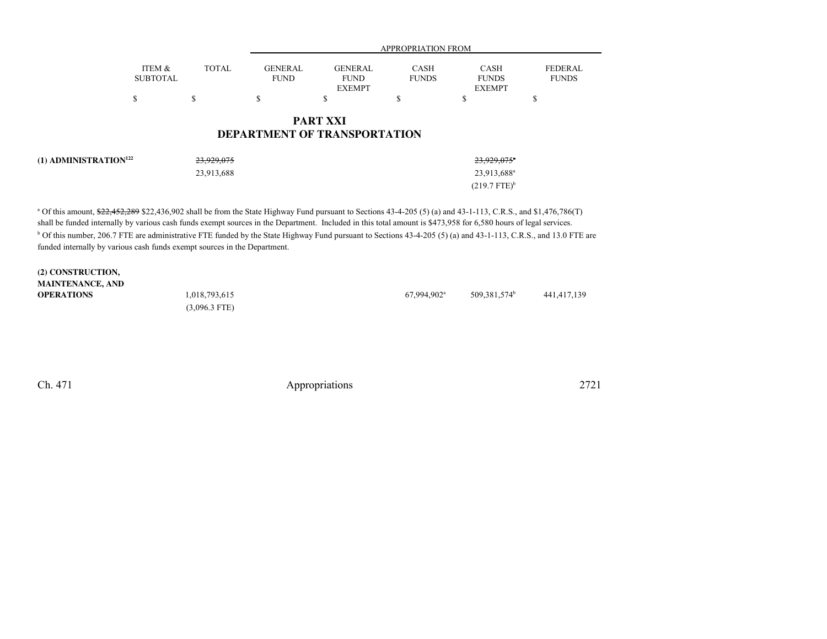|                                   |                           | <b>APPROPRIATION FROM</b> |                               |                                                        |                      |                                       |                                |
|-----------------------------------|---------------------------|---------------------------|-------------------------------|--------------------------------------------------------|----------------------|---------------------------------------|--------------------------------|
|                                   | ITEM &<br><b>SUBTOTAL</b> | <b>TOTAL</b>              | <b>GENERAL</b><br><b>FUND</b> | <b>GENERAL</b><br><b>FUND</b><br><b>EXEMPT</b>         | CASH<br><b>FUNDS</b> | CASH<br><b>FUNDS</b><br><b>EXEMPT</b> | <b>FEDERAL</b><br><b>FUNDS</b> |
|                                   | \$                        | S                         | \$                            | ¢<br>ъ                                                 |                      | D                                     | Φ<br>Ф                         |
|                                   |                           |                           |                               | <b>PART XXI</b><br><b>DEPARTMENT OF TRANSPORTATION</b> |                      |                                       |                                |
| (1) ADMINISTRATION <sup>122</sup> |                           | 23,929,075                |                               |                                                        |                      | 23,929,075 <sup>a</sup>               |                                |
|                                   |                           | 23,913,688                |                               |                                                        |                      | 23,913,688 <sup>a</sup>               |                                |

<sup>a</sup> Of this amount, \$22,452,289 \$22,436,902 shall be from the State Highway Fund pursuant to Sections 43-4-205 (5) (a) and 43-1-113, C.R.S., and \$1,476,786(T) shall be funded internally by various cash funds exempt sources in the Department. Included in this total amount is \$473,958 for 6,580 hours of legal services.<sup>b</sup> Of this number, 206.7 FTE are administrative FTE funded by the State Highway Fund pursuant to Sections 43-4-205 (5) (a) and 43-1-113, C.R.S., and 13.0 FTE are funded internally by various cash funds exempt sources in the Department.

| (2) CONSTRUCTION,       |                 |                           |                          |             |
|-------------------------|-----------------|---------------------------|--------------------------|-------------|
| <b>MAINTENANCE, AND</b> |                 |                           |                          |             |
| <b>OPERATIONS</b>       | 1,018,793,615   | $67.994.902$ <sup>a</sup> | 509.381.574 <sup>b</sup> | 441,417,139 |
|                         | $(3,096.3$ FTE) |                           |                          |             |

Ch. 471

Appropriations <sup>2721</sup>

 $(219.7 \text{ FTE})^b$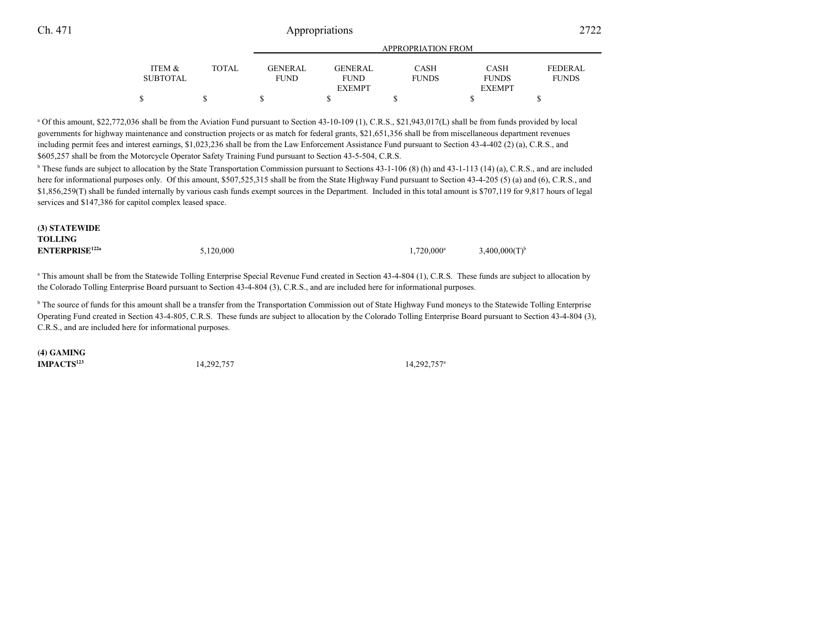## Appropriations <sup>2722</sup>

|          |       | <b>APPROPRIATION FROM</b> |                |              |               |                |
|----------|-------|---------------------------|----------------|--------------|---------------|----------------|
| ITEM &   | TOTAL | <b>GENERAL</b>            | <b>GENERAL</b> | <b>CASH</b>  | <b>CASH</b>   | <b>FEDERAL</b> |
| SUBTOTAL |       | <b>FUND</b>               | <b>FUND</b>    | <b>FUNDS</b> | <b>FUNDS</b>  | <b>FUNDS</b>   |
|          |       |                           | <b>EXEMPT</b>  |              | <b>EXEMPT</b> |                |
|          | JD    |                           |                |              |               |                |

<sup>a</sup> Of this amount, \$22,772,036 shall be from the Aviation Fund pursuant to Section 43-10-109 (1), C.R.S., \$21,943,017(L) shall be from funds provided by local governments for highway maintenance and construction projects or as match for federal grants, \$21,651,356 shall be from miscellaneous department revenues including permit fees and interest earnings, \$1,023,236 shall be from the Law Enforcement Assistance Fund pursuant to Section 43-4-402 (2) (a), C.R.S., and\$605,257 shall be from the Motorcycle Operator Safety Training Fund pursuant to Section 43-5-504, C.R.S.

<sup>b</sup> These funds are subject to allocation by the State Transportation Commission pursuant to Sections 43-1-106 (8) (h) and 43-1-113 (14) (a), C.R.S., and are included here for informational purposes only. Of this amount, \$507,525,315 shall be from the State Highway Fund pursuant to Section 43-4-205 (5) (a) and (6), C.R.S., and \$1,856,259(T) shall be funded internally by various cash funds exempt sources in the Department. Included in this total amount is \$707,119 for 9,817 hours of legalservices and \$147,386 for capitol complex leased space.

| (3) STATEWIDE         |           |                     |                    |
|-----------------------|-----------|---------------------|--------------------|
| TOLLING               |           |                     |                    |
| <b>ENTERPRISE122a</b> | 5,120,000 | $1,720,000^{\rm a}$ | $3,400,000(T)^{6}$ |

<sup>a</sup> This amount shall be from the Statewide Tolling Enterprise Special Revenue Fund created in Section 43-4-804 (1), C.R.S. These funds are subject to allocation by the Colorado Tolling Enterprise Board pursuant to Section 43-4-804 (3), C.R.S., and are included here for informational purposes.

<sup>b</sup> The source of funds for this amount shall be a transfer from the Transportation Commission out of State Highway Fund moneys to the Statewide Tolling Enterprise Operating Fund created in Section 43-4-805, C.R.S. These funds are subject to allocation by the Colorado Tolling Enterprise Board pursuant to Section 43-4-804 (3),C.R.S., and are included here for informational purposes.

**(4) GAMING**

**IMPACTS<sup>123</sup>** 14,292,757

14,292,757<sup>a</sup> 14,292,757<sup>a</sup>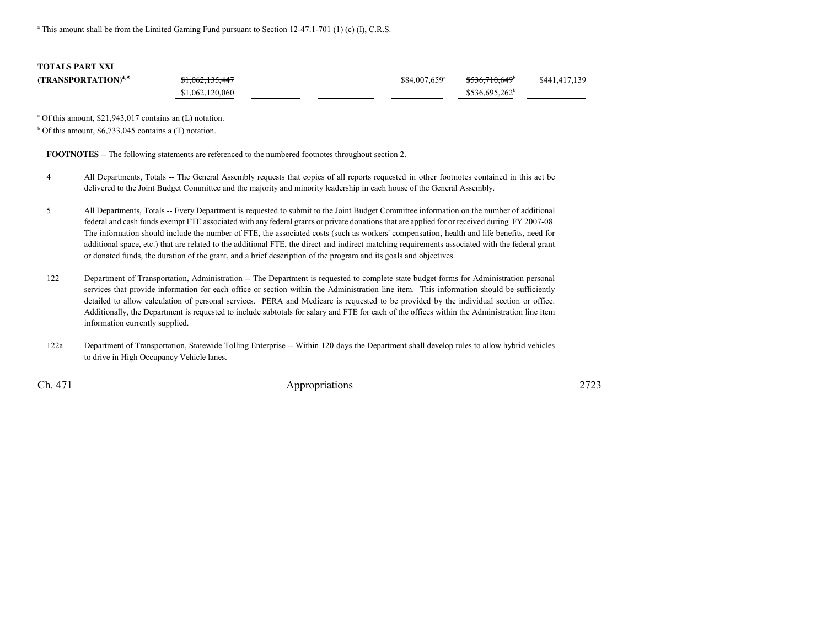<sup>a</sup> This amount shall be from the Limited Gaming Fund pursuant to Section 12-47.1-701 (1) (c) (I), C.R.S.

**TOTALS PART XXI**

**(TRANSPORTATION)<sup>4,5</sup>** \$1,062,135,447  $\frac{3}{884,007,659}$   $\frac{$536,710,649}{9}$  \$441,417,139 \$1,062,120,060\$536,695,262<sup>b</sup>

a Of this amount, \$21,943,017 contains an (L) notation.

 $b$  Of this amount, \$6,733,045 contains a (T) notation.

**FOOTNOTES** -- The following statements are referenced to the numbered footnotes throughout section 2.

- <sup>4</sup> All Departments, Totals -- The General Assembly requests that copies of all reports requested in other footnotes contained in this act be delivered to the Joint Budget Committee and the majority and minority leadership in each house of the General Assembly.
- <sup>5</sup> All Departments, Totals -- Every Department is requested to submit to the Joint Budget Committee information on the number of additional federal and cash funds exempt FTE associated with any federal grants or private donations that are applied for or received during FY 2007-08.The information should include the number of FTE, the associated costs (such as workers' compensation, health and life benefits, need for additional space, etc.) that are related to the additional FTE, the direct and indirect matching requirements associated with the federal grantor donated funds, the duration of the grant, and a brief description of the program and its goals and objectives.
- <sup>122</sup> Department of Transportation, Administration -- The Department is requested to complete state budget forms for Administration personal services that provide information for each office or section within the Administration line item. This information should be sufficiently detailed to allow calculation of personal services. PERA and Medicare is requested to be provided by the individual section or office.Additionally, the Department is requested to include subtotals for salary and FTE for each of the offices within the Administration line iteminformation currently supplied.
- 122a Department of Transportation, Statewide Tolling Enterprise -- Within 120 days the Department shall develop rules to allow hybrid vehicles to drive in High Occupancy Vehicle lanes.

Ch. 471

Appropriations <sup>2723</sup>